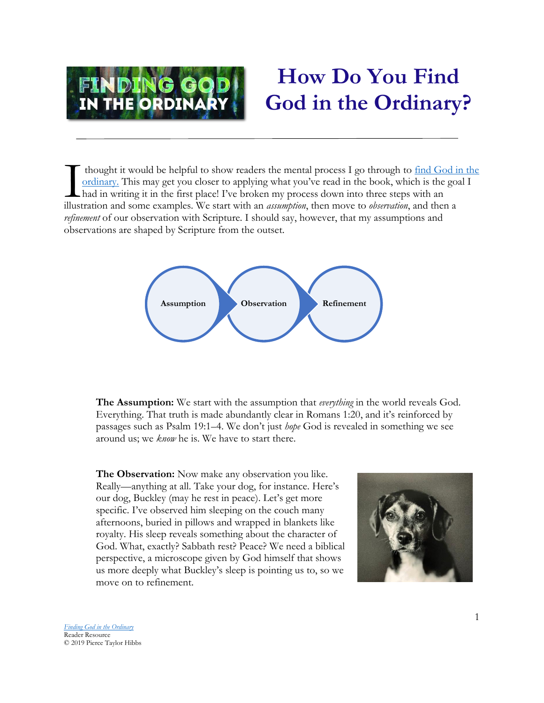

## **How Do You Find God in the Ordinary?**

thought it would be helpful to show readers the mental process I go through to [find God in the](https://www.amazon.com/Finding-Ordinary-Pierce-Taylor-Hibbs/dp/1532657684)  [ordinary.](https://www.amazon.com/Finding-Ordinary-Pierce-Taylor-Hibbs/dp/1532657684) This may get you closer to applying what you've read in the book, which is the goal I had in writing it in the first place! I've broken my process down into three steps with an It hought it would be helpful to show readers the mental process I go through to <u>find God is</u> ordinary. This may get you closer to applying what you've read in the book, which is the got had in writing it in the first pla *refinement* of our observation with Scripture. I should say, however, that my assumptions and observations are shaped by Scripture from the outset.



**The Assumption:** We start with the assumption that *everything* in the world reveals God. Everything. That truth is made abundantly clear in Romans 1:20, and it's reinforced by passages such as Psalm 19:1–4. We don't just *hope* God is revealed in something we see around us; we *know* he is. We have to start there.

**The Observation:** Now make any observation you like. Really—anything at all. Take your dog, for instance. Here's our dog, Buckley (may he rest in peace). Let's get more specific. I've observed him sleeping on the couch many afternoons, buried in pillows and wrapped in blankets like royalty. His sleep reveals something about the character of God. What, exactly? Sabbath rest? Peace? We need a biblical perspective, a microscope given by God himself that shows us more deeply what Buckley's sleep is pointing us to, so we move on to refinement.



*[Finding God in the Ordinary](https://www.amazon.com/Finding-Ordinary-Pierce-Taylor-Hibbs/dp/1532657684)* Reader Resource © 2019 Pierce Taylor Hibbs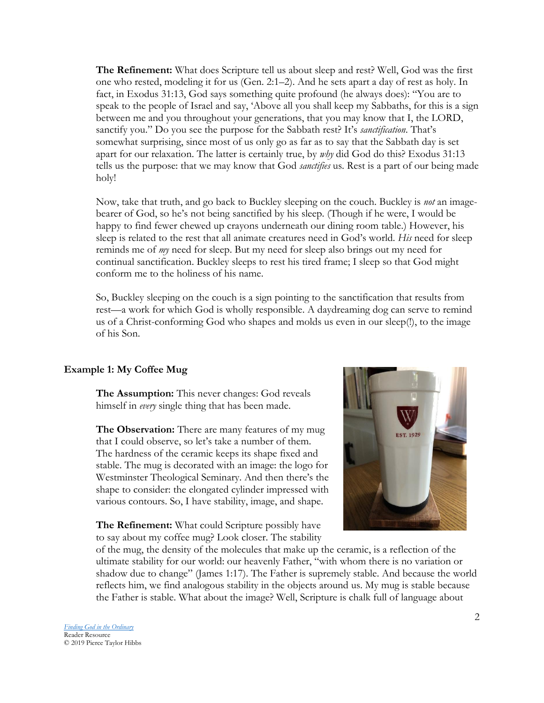**The Refinement:** What does Scripture tell us about sleep and rest? Well, God was the first one who rested, modeling it for us (Gen. 2:1–2). And he sets apart a day of rest as holy. In fact, in Exodus 31:13, God says something quite profound (he always does): "You are to speak to the people of Israel and say, 'Above all you shall keep my Sabbaths, for this is a sign between me and you throughout your generations, that you may know that I, the LORD, sanctify you." Do you see the purpose for the Sabbath rest? It's *sanctification*. That's somewhat surprising, since most of us only go as far as to say that the Sabbath day is set apart for our relaxation. The latter is certainly true, by *why* did God do this? Exodus 31:13 tells us the purpose: that we may know that God *sanctifies* us. Rest is a part of our being made holy!

Now, take that truth, and go back to Buckley sleeping on the couch. Buckley is *not* an imagebearer of God, so he's not being sanctified by his sleep. (Though if he were, I would be happy to find fewer chewed up crayons underneath our dining room table.) However, his sleep is related to the rest that all animate creatures need in God's world. *His* need for sleep reminds me of *my* need for sleep. But my need for sleep also brings out my need for continual sanctification. Buckley sleeps to rest his tired frame; I sleep so that God might conform me to the holiness of his name.

So, Buckley sleeping on the couch is a sign pointing to the sanctification that results from rest—a work for which God is wholly responsible. A daydreaming dog can serve to remind us of a Christ-conforming God who shapes and molds us even in our sleep(!), to the image of his Son.

## **Example 1: My Coffee Mug**

**The Assumption:** This never changes: God reveals himself in *every* single thing that has been made.

**The Observation:** There are many features of my mug that I could observe, so let's take a number of them. The hardness of the ceramic keeps its shape fixed and stable. The mug is decorated with an image: the logo for Westminster Theological Seminary. And then there's the shape to consider: the elongated cylinder impressed with various contours. So, I have stability, image, and shape.

**The Refinement:** What could Scripture possibly have to say about my coffee mug? Look closer. The stability



of the mug, the density of the molecules that make up the ceramic, is a reflection of the ultimate stability for our world: our heavenly Father, "with whom there is no variation or shadow due to change" (James 1:17). The Father is supremely stable. And because the world reflects him, we find analogous stability in the objects around us. My mug is stable because the Father is stable. What about the image? Well, Scripture is chalk full of language about

*[Finding God in the Ordinary](https://www.amazon.com/Finding-Ordinary-Pierce-Taylor-Hibbs/dp/1532657684)* Reader Resource © 2019 Pierce Taylor Hibbs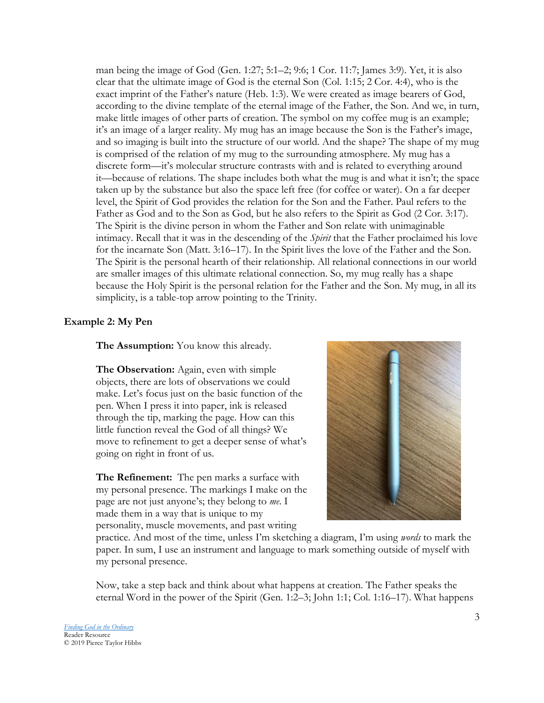man being the image of God (Gen. 1:27; 5:1–2; 9:6; 1 Cor. 11:7; James 3:9). Yet, it is also clear that the ultimate image of God is the eternal Son (Col. 1:15; 2 Cor. 4:4), who is the exact imprint of the Father's nature (Heb. 1:3). We were created as image bearers of God, according to the divine template of the eternal image of the Father, the Son. And we, in turn, make little images of other parts of creation. The symbol on my coffee mug is an example; it's an image of a larger reality. My mug has an image because the Son is the Father's image, and so imaging is built into the structure of our world. And the shape? The shape of my mug is comprised of the relation of my mug to the surrounding atmosphere. My mug has a discrete form—it's molecular structure contrasts with and is related to everything around it—because of relations. The shape includes both what the mug is and what it isn't; the space taken up by the substance but also the space left free (for coffee or water). On a far deeper level, the Spirit of God provides the relation for the Son and the Father. Paul refers to the Father as God and to the Son as God, but he also refers to the Spirit as God (2 Cor. 3:17). The Spirit is the divine person in whom the Father and Son relate with unimaginable intimacy. Recall that it was in the descending of the *Spirit* that the Father proclaimed his love for the incarnate Son (Matt. 3:16–17). In the Spirit lives the love of the Father and the Son. The Spirit is the personal hearth of their relationship. All relational connections in our world are smaller images of this ultimate relational connection. So, my mug really has a shape because the Holy Spirit is the personal relation for the Father and the Son. My mug, in all its simplicity, is a table-top arrow pointing to the Trinity.

## **Example 2: My Pen**

**The Assumption:** You know this already.

**The Observation:** Again, even with simple objects, there are lots of observations we could make. Let's focus just on the basic function of the pen. When I press it into paper, ink is released through the tip, marking the page. How can this little function reveal the God of all things? We move to refinement to get a deeper sense of what's going on right in front of us.

**The Refinement:** The pen marks a surface with my personal presence. The markings I make on the page are not just anyone's; they belong to *me*. I made them in a way that is unique to my personality, muscle movements, and past writing

![](_page_2_Picture_5.jpeg)

practice. And most of the time, unless I'm sketching a diagram, I'm using *words* to mark the paper. In sum, I use an instrument and language to mark something outside of myself with my personal presence.

Now, take a step back and think about what happens at creation. The Father speaks the eternal Word in the power of the Spirit (Gen. 1:2–3; John 1:1; Col. 1:16–17). What happens